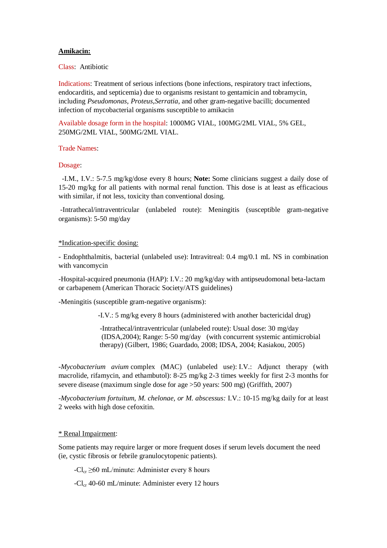## **Amikacin:**

Class: Antibiotic

Indications: Treatment of serious infections (bone infections, respiratory tract infections, endocarditis, and septicemia) due to organisms resistant to gentamicin and tobramycin, including *Pseudomonas*, *Proteus*,*Serratia*, and other gram-negative bacilli; documented infection of mycobacterial organisms susceptible to amikacin

Available dosage form in the hospital: 1000MG VIAL, 100MG/2ML VIAL, 5% GEL, 250MG/2ML VIAL, 500MG/2ML VIAL.

Trade Names:

Dosage:

-I.M., I.V.: 5-7.5 mg/kg/dose every 8 hours; **Note:** Some clinicians suggest a daily dose of 15-20 mg/kg for all patients with normal renal function. This dose is at least as efficacious with similar, if not less, toxicity than conventional dosing.

-Intrathecal/intraventricular (unlabeled route): Meningitis (susceptible gram-negative organisms): 5-50 mg/day

## \*Indication-specific dosing:

- Endophthalmitis, bacterial (unlabeled use): Intravitreal: 0.4 mg/0.1 mL NS in combination with vancomycin

-Hospital-acquired pneumonia (HAP): I.V.: 20 mg/kg/day with antipseudomonal beta-lactam or carbapenem (American Thoracic Society/ATS guidelines)

-Meningitis (susceptible gram-negative organisms):

-I.V.: 5 mg/kg every 8 hours (administered with another bactericidal drug)

 -Intrathecal/intraventricular (unlabeled route): Usual dose: 30 mg/day (IDSA,2004); Range: 5-50 mg/day (with concurrent systemic antimicrobial therapy) (Gilbert, 1986; Guardado, 2008; IDSA, 2004; Kasiakou, 2005)

*-Mycobacterium avium* complex (MAC) (unlabeled use): I.V.: Adjunct therapy (with macrolide, rifamycin, and ethambutol): 8-25 mg/kg 2-3 times weekly for first 2-3 months for severe disease (maximum single dose for age >50 years: 500 mg) (Griffith, 2007)

*-Mycobacterium fortuitum, M. chelonae, or M. abscessus:* I.V.: 10-15 mg/kg daily for at least 2 weeks with high dose cefoxitin.

## \* Renal Impairment:

Some patients may require larger or more frequent doses if serum levels document the need (ie, cystic fibrosis or febrile granulocytopenic patients).

 $-Cl_{cr} \geq 60$  mL/minute: Administer every 8 hours

 $-Cl_{cr}$  40-60 mL/minute: Administer every 12 hours